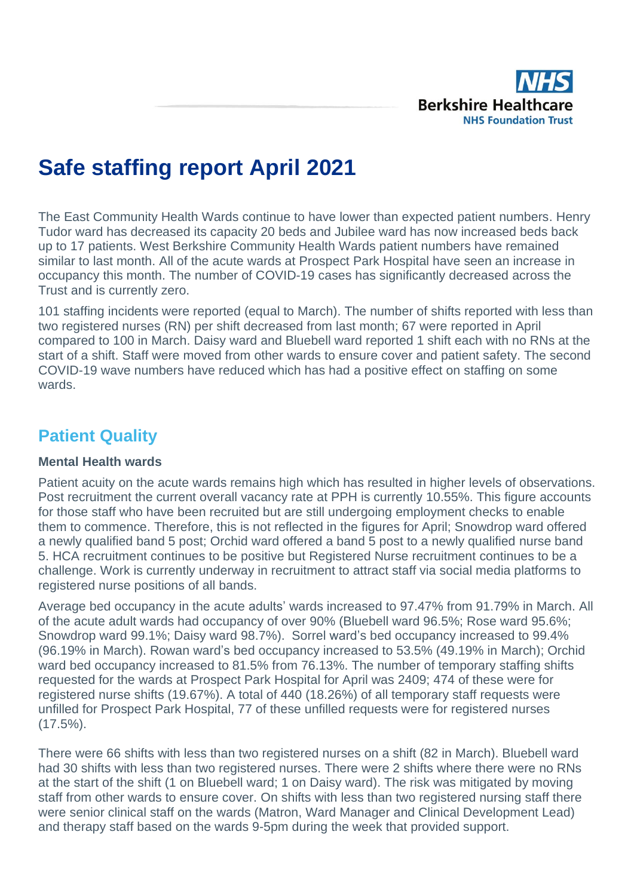

# **Safe staffing report April 2021**

The East Community Health Wards continue to have lower than expected patient numbers. Henry Tudor ward has decreased its capacity 20 beds and Jubilee ward has now increased beds back up to 17 patients. West Berkshire Community Health Wards patient numbers have remained similar to last month. All of the acute wards at Prospect Park Hospital have seen an increase in occupancy this month. The number of COVID-19 cases has significantly decreased across the Trust and is currently zero.

101 staffing incidents were reported (equal to March). The number of shifts reported with less than two registered nurses (RN) per shift decreased from last month; 67 were reported in April compared to 100 in March. Daisy ward and Bluebell ward reported 1 shift each with no RNs at the start of a shift. Staff were moved from other wards to ensure cover and patient safety. The second COVID-19 wave numbers have reduced which has had a positive effect on staffing on some wards.

## **Patient Quality**

#### **Mental Health wards**

Patient acuity on the acute wards remains high which has resulted in higher levels of observations. Post recruitment the current overall vacancy rate at PPH is currently 10.55%. This figure accounts for those staff who have been recruited but are still undergoing employment checks to enable them to commence. Therefore, this is not reflected in the figures for April; Snowdrop ward offered a newly qualified band 5 post; Orchid ward offered a band 5 post to a newly qualified nurse band 5. HCA recruitment continues to be positive but Registered Nurse recruitment continues to be a challenge. Work is currently underway in recruitment to attract staff via social media platforms to registered nurse positions of all bands.

Average bed occupancy in the acute adults' wards increased to 97.47% from 91.79% in March. All of the acute adult wards had occupancy of over 90% (Bluebell ward 96.5%; Rose ward 95.6%; Snowdrop ward 99.1%; Daisy ward 98.7%). Sorrel ward's bed occupancy increased to 99.4% (96.19% in March). Rowan ward's bed occupancy increased to 53.5% (49.19% in March); Orchid ward bed occupancy increased to 81.5% from 76.13%. The number of temporary staffing shifts requested for the wards at Prospect Park Hospital for April was 2409; 474 of these were for registered nurse shifts (19.67%). A total of 440 (18.26%) of all temporary staff requests were unfilled for Prospect Park Hospital, 77 of these unfilled requests were for registered nurses (17.5%).

There were 66 shifts with less than two registered nurses on a shift (82 in March). Bluebell ward had 30 shifts with less than two registered nurses. There were 2 shifts where there were no RNs at the start of the shift (1 on Bluebell ward; 1 on Daisy ward). The risk was mitigated by moving staff from other wards to ensure cover. On shifts with less than two registered nursing staff there were senior clinical staff on the wards (Matron, Ward Manager and Clinical Development Lead) and therapy staff based on the wards 9-5pm during the week that provided support.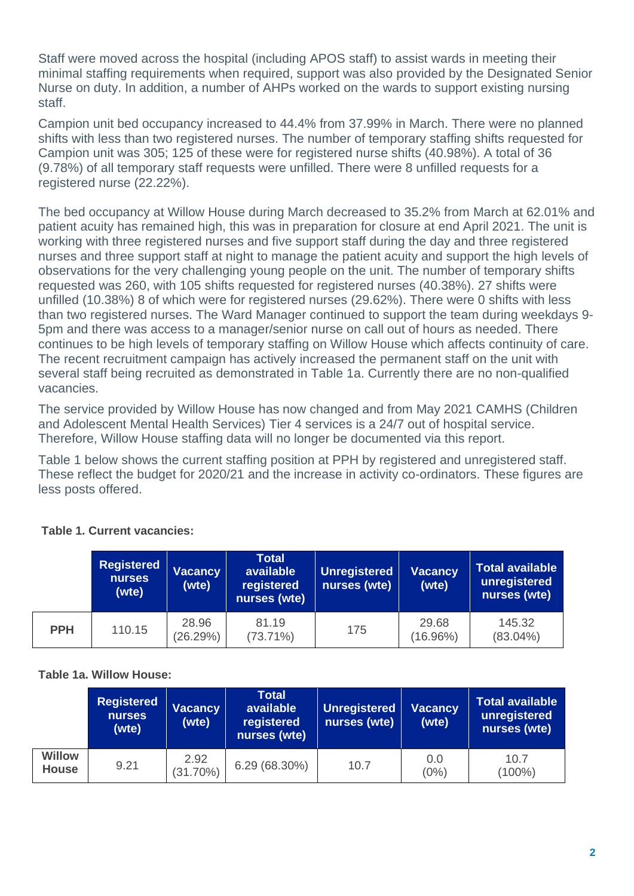Staff were moved across the hospital (including APOS staff) to assist wards in meeting their minimal staffing requirements when required, support was also provided by the Designated Senior Nurse on duty. In addition, a number of AHPs worked on the wards to support existing nursing staff.

Campion unit bed occupancy increased to 44.4% from 37.99% in March. There were no planned shifts with less than two registered nurses. The number of temporary staffing shifts requested for Campion unit was 305; 125 of these were for registered nurse shifts (40.98%). A total of 36 (9.78%) of all temporary staff requests were unfilled. There were 8 unfilled requests for a registered nurse (22.22%).

The bed occupancy at Willow House during March decreased to 35.2% from March at 62.01% and patient acuity has remained high, this was in preparation for closure at end April 2021. The unit is working with three registered nurses and five support staff during the day and three registered nurses and three support staff at night to manage the patient acuity and support the high levels of observations for the very challenging young people on the unit. The number of temporary shifts requested was 260, with 105 shifts requested for registered nurses (40.38%). 27 shifts were unfilled (10.38%) 8 of which were for registered nurses (29.62%). There were 0 shifts with less than two registered nurses. The Ward Manager continued to support the team during weekdays 9- 5pm and there was access to a manager/senior nurse on call out of hours as needed. There continues to be high levels of temporary staffing on Willow House which affects continuity of care. The recent recruitment campaign has actively increased the permanent staff on the unit with several staff being recruited as demonstrated in Table 1a. Currently there are no non-qualified vacancies.

The service provided by Willow House has now changed and from May 2021 CAMHS (Children and Adolescent Mental Health Services) Tier 4 services is a 24/7 out of hospital service. Therefore, Willow House staffing data will no longer be documented via this report.

Table 1 below shows the current staffing position at PPH by registered and unregistered staff. These reflect the budget for 2020/21 and the increase in activity co-ordinators. These figures are less posts offered.

|            | Registered<br>nurses<br>(wte) | <b>Vacancy</b><br>(wte)<br>nurses (wte) |                      | Unregistered<br>nurses (wte) | <b>Vacancy</b><br>(wte) | <b>Total available</b><br>unregistered<br>nurses (wte) |  |  |
|------------|-------------------------------|-----------------------------------------|----------------------|------------------------------|-------------------------|--------------------------------------------------------|--|--|
| <b>PPH</b> | 110.15                        | 28.96<br>(26.29%)                       | 81.19<br>$(73.71\%)$ | 175                          | 29.68<br>$(16.96\%)$    | 145.32<br>$(83.04\%)$                                  |  |  |

## **Table 1. Current vacancies:**

#### **Table 1a. Willow House:**

|                               | <b>Registered</b><br><b>Vacancy</b><br><b>nurses</b><br>(wte)<br>(wte) |                     | Total<br>available <b>b</b><br>registered<br>nurses (wte) | Unregistered<br>nurses (wte) | <b>Vacancy</b><br>(wte) | <b>Total available</b><br>unregistered<br>nurses (wte) |  |  |
|-------------------------------|------------------------------------------------------------------------|---------------------|-----------------------------------------------------------|------------------------------|-------------------------|--------------------------------------------------------|--|--|
| <b>Willow</b><br><b>House</b> | 9.21                                                                   | 2.92<br>$(31.70\%)$ | 6.29(68.30%)                                              | 10.7                         | 0.0<br>$(0\%)$          | 10.7<br>$(100\%)$                                      |  |  |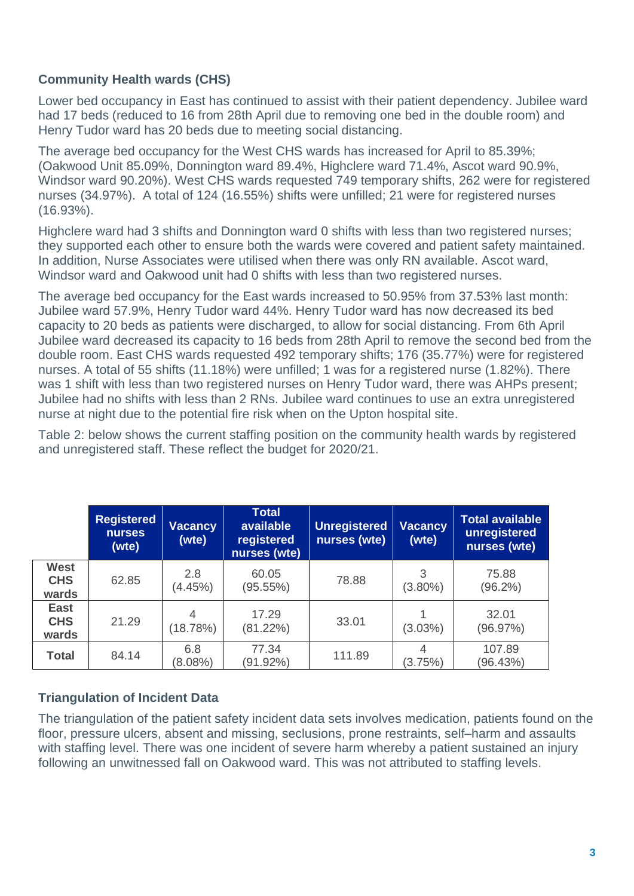## **Community Health wards (CHS)**

Lower bed occupancy in East has continued to assist with their patient dependency. Jubilee ward had 17 beds (reduced to 16 from 28th April due to removing one bed in the double room) and Henry Tudor ward has 20 beds due to meeting social distancing.

The average bed occupancy for the West CHS wards has increased for April to 85.39%; (Oakwood Unit 85.09%, Donnington ward 89.4%, Highclere ward 71.4%, Ascot ward 90.9%, Windsor ward 90.20%). West CHS wards requested 749 temporary shifts, 262 were for registered nurses (34.97%). A total of 124 (16.55%) shifts were unfilled; 21 were for registered nurses (16.93%).

Highclere ward had 3 shifts and Donnington ward 0 shifts with less than two registered nurses; they supported each other to ensure both the wards were covered and patient safety maintained. In addition, Nurse Associates were utilised when there was only RN available. Ascot ward, Windsor ward and Oakwood unit had 0 shifts with less than two registered nurses.

The average bed occupancy for the East wards increased to 50.95% from 37.53% last month: Jubilee ward 57.9%, Henry Tudor ward 44%. Henry Tudor ward has now decreased its bed capacity to 20 beds as patients were discharged, to allow for social distancing. From 6th April Jubilee ward decreased its capacity to 16 beds from 28th April to remove the second bed from the double room. East CHS wards requested 492 temporary shifts; 176 (35.77%) were for registered nurses. A total of 55 shifts (11.18%) were unfilled; 1 was for a registered nurse (1.82%). There was 1 shift with less than two registered nurses on Henry Tudor ward, there was AHPs present; Jubilee had no shifts with less than 2 RNs. Jubilee ward continues to use an extra unregistered nurse at night due to the potential fire risk when on the Upton hospital site.

Table 2: below shows the current staffing position on the community health wards by registered and unregistered staff. These reflect the budget for 2020/21.

|                                    | <b>Registered</b><br><b>nurses</b><br>(wte) | <b>Vacancy</b><br>(wte) | <b>Total</b><br>available<br>registered<br>nurses (wte) | <b>Unregistered</b><br>nurses (wte) | <b>Vacancy</b><br>(wte) | <b>Total available</b><br>unregistered<br>nurses (wte) |
|------------------------------------|---------------------------------------------|-------------------------|---------------------------------------------------------|-------------------------------------|-------------------------|--------------------------------------------------------|
| <b>West</b><br><b>CHS</b><br>wards | 62.85                                       | 2.8<br>(4.45%)          | 60.05<br>(95.55%)                                       | 78.88                               | 3<br>$(3.80\%)$         | 75.88<br>$(96.2\%)$                                    |
| <b>East</b><br><b>CHS</b><br>wards | 21.29                                       | (18.78%)                | 17.29<br>(81.22%)                                       | 33.01                               | $(3.03\%)$              | 32.01<br>(96.97%)                                      |
| <b>Total</b>                       | 84.14                                       | 6.8<br>$(8.08\%)$       | 77.34<br>(91.92%)                                       | 111.89                              | 4<br>(3.75%)            | 107.89<br>(96.43%)                                     |

## **Triangulation of Incident Data**

The triangulation of the patient safety incident data sets involves medication, patients found on the floor, pressure ulcers, absent and missing, seclusions, prone restraints, self–harm and assaults with staffing level. There was one incident of severe harm whereby a patient sustained an injury following an unwitnessed fall on Oakwood ward. This was not attributed to staffing levels.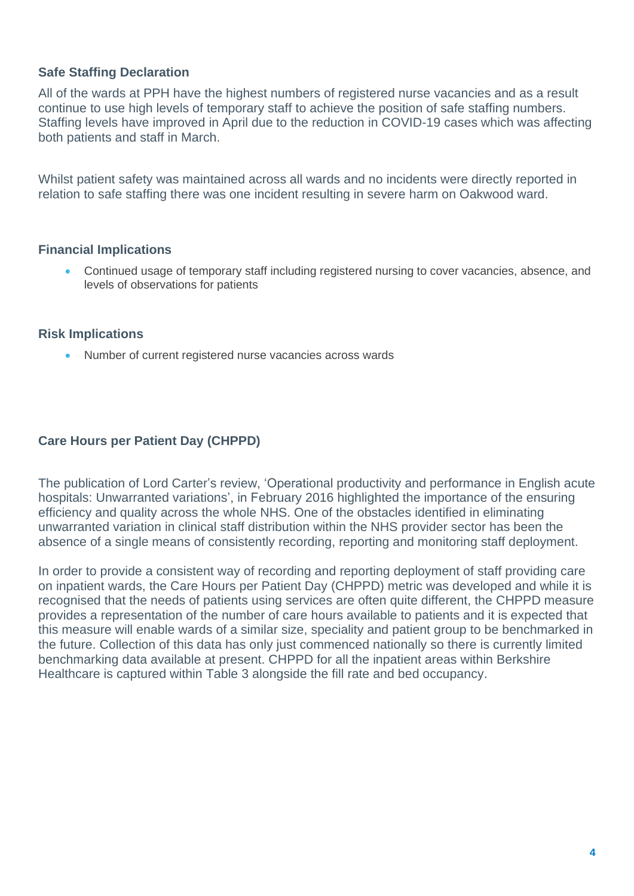## **Safe Staffing Declaration**

All of the wards at PPH have the highest numbers of registered nurse vacancies and as a result continue to use high levels of temporary staff to achieve the position of safe staffing numbers. Staffing levels have improved in April due to the reduction in COVID-19 cases which was affecting both patients and staff in March.

Whilst patient safety was maintained across all wards and no incidents were directly reported in relation to safe staffing there was one incident resulting in severe harm on Oakwood ward.

#### **Financial Implications**

• Continued usage of temporary staff including registered nursing to cover vacancies, absence, and levels of observations for patients

#### **Risk Implications**

• Number of current registered nurse vacancies across wards

## **Care Hours per Patient Day (CHPPD)**

The publication of Lord Carter's review, 'Operational productivity and performance in English acute hospitals: Unwarranted variations', in February 2016 highlighted the importance of the ensuring efficiency and quality across the whole NHS. One of the obstacles identified in eliminating unwarranted variation in clinical staff distribution within the NHS provider sector has been the absence of a single means of consistently recording, reporting and monitoring staff deployment.

In order to provide a consistent way of recording and reporting deployment of staff providing care on inpatient wards, the Care Hours per Patient Day (CHPPD) metric was developed and while it is recognised that the needs of patients using services are often quite different, the CHPPD measure provides a representation of the number of care hours available to patients and it is expected that this measure will enable wards of a similar size, speciality and patient group to be benchmarked in the future. Collection of this data has only just commenced nationally so there is currently limited benchmarking data available at present. CHPPD for all the inpatient areas within Berkshire Healthcare is captured within Table 3 alongside the fill rate and bed occupancy.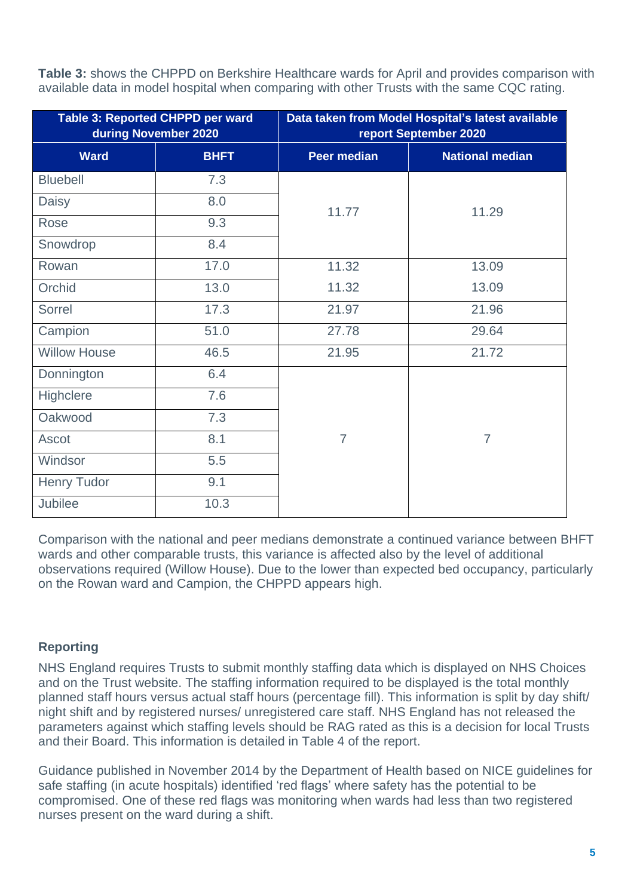**Table 3:** shows the CHPPD on Berkshire Healthcare wards for April and provides comparison with available data in model hospital when comparing with other Trusts with the same CQC rating.

|                     | Table 3: Reported CHPPD per ward<br>during November 2020 | Data taken from Model Hospital's latest available<br>report September 2020 |                        |  |  |  |  |  |  |  |
|---------------------|----------------------------------------------------------|----------------------------------------------------------------------------|------------------------|--|--|--|--|--|--|--|
| <b>Ward</b>         | <b>BHFT</b>                                              | <b>Peer median</b>                                                         | <b>National median</b> |  |  |  |  |  |  |  |
| <b>Bluebell</b>     | 7.3                                                      |                                                                            |                        |  |  |  |  |  |  |  |
| Daisy               | 8.0                                                      | 11.77                                                                      | 11.29                  |  |  |  |  |  |  |  |
| Rose                | 9.3                                                      |                                                                            |                        |  |  |  |  |  |  |  |
| Snowdrop            | 8.4                                                      |                                                                            |                        |  |  |  |  |  |  |  |
| Rowan               | 17.0                                                     | 11.32                                                                      | 13.09                  |  |  |  |  |  |  |  |
| Orchid              | 13.0                                                     | 11.32                                                                      | 13.09                  |  |  |  |  |  |  |  |
| Sorrel              | 17.3                                                     | 21.97                                                                      | 21.96                  |  |  |  |  |  |  |  |
| Campion             | 51.0                                                     | 27.78                                                                      | 29.64                  |  |  |  |  |  |  |  |
| <b>Willow House</b> | 46.5                                                     | 21.95                                                                      | 21.72                  |  |  |  |  |  |  |  |
| Donnington          | 6.4                                                      |                                                                            |                        |  |  |  |  |  |  |  |
| Highclere           | 7.6                                                      |                                                                            |                        |  |  |  |  |  |  |  |
| Oakwood             | 7.3                                                      |                                                                            |                        |  |  |  |  |  |  |  |
| Ascot               | 8.1                                                      | $\overline{7}$                                                             | $\overline{7}$         |  |  |  |  |  |  |  |
| Windsor             | 5.5                                                      |                                                                            |                        |  |  |  |  |  |  |  |
| <b>Henry Tudor</b>  | 9.1                                                      |                                                                            |                        |  |  |  |  |  |  |  |
| <b>Jubilee</b>      | 10.3                                                     |                                                                            |                        |  |  |  |  |  |  |  |

Comparison with the national and peer medians demonstrate a continued variance between BHFT wards and other comparable trusts, this variance is affected also by the level of additional observations required (Willow House). Due to the lower than expected bed occupancy, particularly on the Rowan ward and Campion, the CHPPD appears high.

## **Reporting**

NHS England requires Trusts to submit monthly staffing data which is displayed on NHS Choices and on the Trust website. The staffing information required to be displayed is the total monthly planned staff hours versus actual staff hours (percentage fill). This information is split by day shift/ night shift and by registered nurses/ unregistered care staff. NHS England has not released the parameters against which staffing levels should be RAG rated as this is a decision for local Trusts and their Board. This information is detailed in Table 4 of the report.

Guidance published in November 2014 by the Department of Health based on NICE guidelines for safe staffing (in acute hospitals) identified 'red flags' where safety has the potential to be compromised. One of these red flags was monitoring when wards had less than two registered nurses present on the ward during a shift.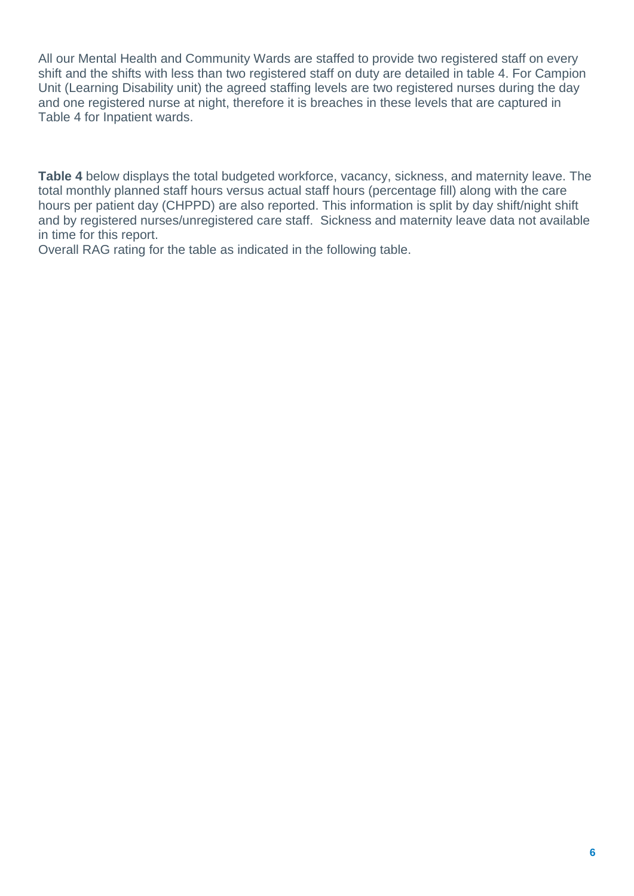All our Mental Health and Community Wards are staffed to provide two registered staff on every shift and the shifts with less than two registered staff on duty are detailed in table 4. For Campion Unit (Learning Disability unit) the agreed staffing levels are two registered nurses during the day and one registered nurse at night, therefore it is breaches in these levels that are captured in Table 4 for Inpatient wards.

**Table 4** below displays the total budgeted workforce, vacancy, sickness, and maternity leave. The total monthly planned staff hours versus actual staff hours (percentage fill) along with the care hours per patient day (CHPPD) are also reported. This information is split by day shift/night shift and by registered nurses/unregistered care staff. Sickness and maternity leave data not available in time for this report.

Overall RAG rating for the table as indicated in the following table.